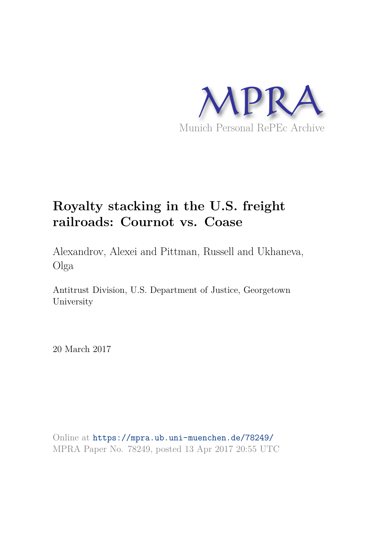

# **Royalty stacking in the U.S. freight railroads: Cournot vs. Coase**

Alexandrov, Alexei and Pittman, Russell and Ukhaneva, Olga

Antitrust Division, U.S. Department of Justice, Georgetown University

20 March 2017

Online at https://mpra.ub.uni-muenchen.de/78249/ MPRA Paper No. 78249, posted 13 Apr 2017 20:55 UTC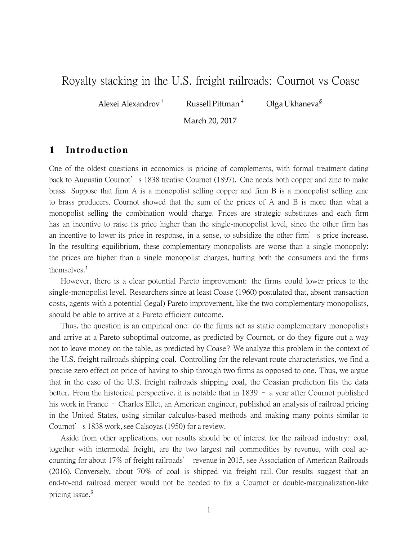# Royalty stacking in the U.S. freight railroads: Cournot vs Coase

Alexei Alexandrov<sup>†</sup> Russell Pittman<sup>‡</sup>

*§*

March 20, 2017

## **1 In troductio n**

One of the oldest questions in economics is pricing of complements, with formal treatment dating back to Augustin Cournot's 1838 treatise Cournot (1897). One needs both copper and zinc to make brass. Suppose that firm A is a monopolist selling copper and firm B is a monopolist selling zinc to brass producers. Cournot showed that the sum of the prices of A and B is more than what a monopolist selling the combination would charge. Prices are strategic substitutes and each firm has an incentive to raise its price higher than the single-monopolist level, since the other firm has an incentive to lower its price in response, in a sense, to subsidize the other firm's price increase. In the resulting equilibrium, these complementary monopolists are worse than a single monopoly: the prices are higher than a single monopolist charges, hurting both the consumers and the firms themselves.<sup>1</sup>

However, there is a clear potential Pareto improvement: the firms could lower prices to the single-monopolist level. Researchers since at least Coase (1960) postulated that, absent transaction costs, agents with a potential (legal) Pareto improvement, like the two complementary monopolists, should be able to arrive at a Pareto efficient outcome.

Thus, the question is an empirical one: do the firms act as static complementary monopolists and arrive at a Pareto suboptimal outcome, as predicted by Cournot, or do they figure out a way not to leave money on the table, as predicted by Coase? We analyze this problem in the context of the U.S. freight railroads shipping coal. Controlling for the relevant route characteristics, we find a precise zero effect on price of having to ship through two firms as opposed to one. Thus, we argue that in the case of the U.S. freight railroads shipping coal, the Coasian prediction fits the data better. From the historical perspective, it is notable that in 1839 – a year after Cournot published his work in France – Charles Ellet, an American engineer, published an analysis of railroad pricing in the United States, using similar calculus-based methods and making many points similar to Cournot's 1838 work, see Calsoyas (1950) for a review.

Aside from other applications, our results should be of interest for the railroad industry: coal, together with intermodal freight, are the two largest rail commodities by revenue, with coal accounting for about 17% of freight railroads' revenue in 2015, see Association of American Railroads (2016). Conversely, about 70% of coal is shipped via freight rail. Our results suggest that an end-to-end railroad merger would not be needed to fix a Cournot or double-marginalization-like pricing issue.<sup>2</sup>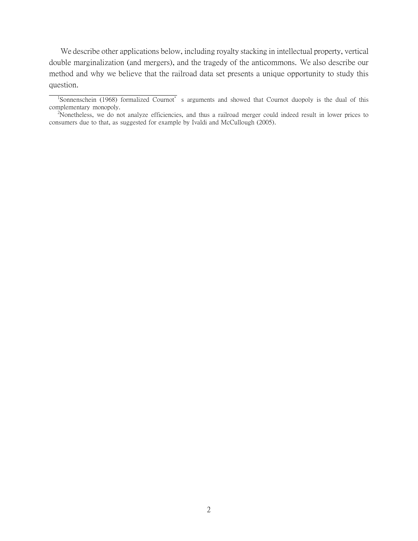We describe other applications below, including royalty stacking in intellectual property, vertical double marginalization (and mergers), and the tragedy of the anticommons. We also describe our method and why we believe that the railroad data set presents a unique opportunity to study this question.

<sup>&</sup>lt;sup>1</sup>Sonnenschein (1968) formalized Cournot's arguments and showed that Cournot duopoly is the dual of this complementary monopoly.

<sup>&</sup>lt;sup>2</sup>Nonetheless, we do not analyze efficiencies, and thus a railroad merger could indeed result in lower prices to consumers due to that, as suggested for example by Ivaldi and McCullough (2005).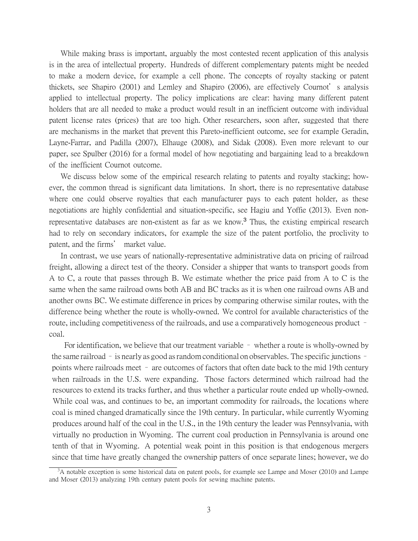While making brass is important, arguably the most contested recent application of this analysis is in the area of intellectual property. Hundreds of different complementary patents might be needed to make a modern device, for example a cell phone. The concepts of royalty stacking or patent thickets, see Shapiro (2001) and Lemley and Shapiro (2006), are effectively Cournot's analysis applied to intellectual property. The policy implications are clear: having many different patent holders that are all needed to make a product would result in an inefficient outcome with individual patent license rates (prices) that are too high. Other researchers, soon after, suggested that there are mechanisms in the market that prevent this Pareto-inefficient outcome, see for example Geradin, Layne-Farrar, and Padilla (2007), Elhauge (2008), and Sidak (2008). Even more relevant to our paper, see Spulber (2016) for a formal model of how negotiating and bargaining lead to a breakdown of the inefficient Cournot outcome.

We discuss below some of the empirical research relating to patents and royalty stacking; however, the common thread is significant data limitations. In short, there is no representative database where one could observe royalties that each manufacturer pays to each patent holder, as these negotiations are highly confidential and situation-specific, see Hagiu and Yoffie (2013). Even nonrepresentative databases are non-existent as far as we know.<sup>3</sup> Thus, the existing empirical research had to rely on secondary indicators, for example the size of the patent portfolio, the proclivity to patent, and the firms' market value.

In contrast, we use years of nationally-representative administrative data on pricing of railroad freight, allowing a direct test of the theory. Consider a shipper that wants to transport goods from A to C, a route that passes through B. We estimate whether the price paid from A to C is the same when the same railroad owns both AB and BC tracks as it is when one railroad owns AB and another owns BC. We estimate difference in prices by comparing otherwise similar routes, with the difference being whether the route is wholly-owned. We control for available characteristics of the route, including competitiveness of the railroads, and use a comparatively homogeneous product – coal.

For identification, we believe that our treatment variable – whether a route is wholly-owned by the same railroad – is nearly as good as random conditional on observables. The specific junctions – points where railroads meet – are outcomes of factors that often date back to the mid 19th century when railroads in the U.S. were expanding. Those factors determined which railroad had the resources to extend its tracks further, and thus whether a particular route ended up wholly-owned. While coal was, and continues to be, an important commodity for railroads, the locations where coal is mined changed dramatically since the 19th century. In particular, while currently Wyoming produces around half of the coal in the U.S., in the 19th century the leader was Pennsylvania, with virtually no production in Wyoming. The current coal production in Pennsylvania is around one tenth of that in Wyoming. A potential weak point in this position is that endogenous mergers since that time have greatly changed the ownership patters of once separate lines; however, we do

<sup>&</sup>lt;sup>3</sup>A notable exception is some historical data on patent pools, for example see Lampe and Moser (2010) and Lampe and Moser (2013) analyzing 19th century patent pools for sewing machine patents.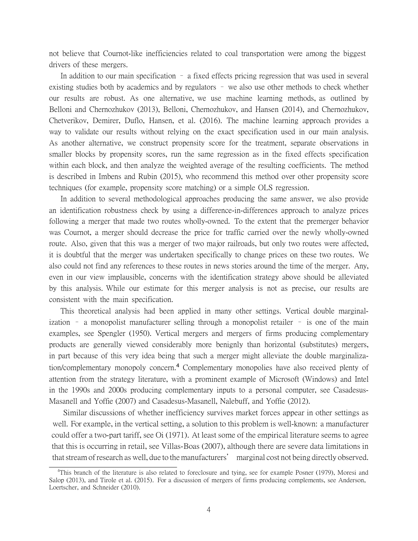not believe that Cournot-like inefficiencies related to coal transportation were among the biggest drivers of these mergers.

In addition to our main specification – a fixed effects pricing regression that was used in several existing studies both by academics and by regulators – we also use other methods to check whether our results are robust. As one alternative, we use machine learning methods, as outlined by Belloni and Chernozhukov (2013), Belloni, Chernozhukov, and Hansen (2014), and Chernozhukov, Chetverikov, Demirer, Duflo, Hansen, et al. (2016). The machine learning approach provides a way to validate our results without relying on the exact specification used in our main analysis. As another alternative, we construct propensity score for the treatment, separate observations in smaller blocks by propensity scores, run the same regression as in the fixed effects specification within each block, and then analyze the weighted average of the resulting coefficients. The method is described in Imbens and Rubin (2015), who recommend this method over other propensity score techniques (for example, propensity score matching) or a simple OLS regression.

In addition to several methodological approaches producing the same answer, we also provide an identification robustness check by using a difference-in-differences approach to analyze prices following a merger that made two routes wholly-owned. To the extent that the premerger behavior was Cournot, a merger should decrease the price for traffic carried over the newly wholly-owned route. Also, given that this was a merger of two major railroads, but only two routes were affected, it is doubtful that the merger was undertaken specifically to change prices on these two routes. We also could not find any references to these routes in news stories around the time of the merger. Any, even in our view implausible, concerns with the identification strategy above should be alleviated by this analysis. While our estimate for this merger analysis is not as precise, our results are consistent with the main specification.

This theoretical analysis had been applied in many other settings. Vertical double marginalization – a monopolist manufacturer selling through a monopolist retailer – is one of the main examples, see Spengler (1950). Vertical mergers and mergers of firms producing complementary products are generally viewed considerably more benignly than horizontal (substitutes) mergers, in part because of this very idea being that such a merger might alleviate the double marginalization/complementary monopoly concern.<sup>4</sup> Complementary monopolies have also received plenty of attention from the strategy literature, with a prominent example of Microsoft (Windows) and Intel in the 1990s and 2000s producing complementary inputs to a personal computer, see Casadesus-Masanell and Yoffie (2007) and Casadesus-Masanell, Nalebuff, and Yoffie (2012).

Similar discussions of whether inefficiency survives market forces appear in other settings as well. For example, in the vertical setting, a solution to this problem is well-known: a manufacturer could offer a two-part tariff, see Oi (1971). At least some of the empirical literature seems to agree that this is occurring in retail, see Villas-Boas (2007), although there are severe data limitations in that stream of research as well, due to the manufacturers' marginal cost not being directly observed.

Loertscher, and Schneider (2010). <sup>4</sup>This branch of the literature is also related to foreclosure and tying, see for example Posner (1979), Moresi and Salop (2013), and Tirole et al. (2015). For a discussion of mergers of firms producing complements, see Anderson,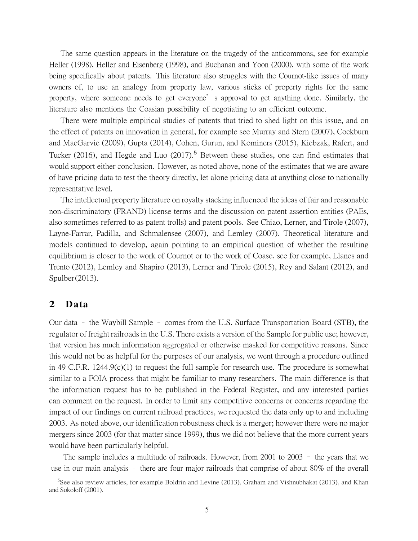The same question appears in the literature on the tragedy of the anticommons, see for example Heller (1998), Heller and Eisenberg (1998), and Buchanan and Yoon (2000), with some of the work being specifically about patents. This literature also struggles with the Cournot-like issues of many owners of, to use an analogy from property law, various sticks of property rights for the same property, where someone needs to get everyone's approval to get anything done. Similarly, the literature also mentions the Coasian possibility of negotiating to an efficient outcome.

There were multiple empirical studies of patents that tried to shed light on this issue, and on the effect of patents on innovation in general, for example see Murray and Stern (2007), Cockburn and MacGarvie (2009), Gupta (2014), Cohen, Gurun, and Kominers (2015), Kiebzak, Rafert, and Tucker (2016), and Hegde and Luo (2017).<sup>5</sup> Between these studies, one can find estimates that would support either conclusion. However, as noted above, none of the estimates that we are aware of have pricing data to test the theory directly, let alone pricing data at anything close to nationally representative level.

The intellectual property literature on royalty stacking influenced the ideas of fair and reasonable non-discriminatory (FRAND) license terms and the discussion on patent assertion entities (PAEs, also sometimes referred to as patent trolls) and patent pools. See Chiao, Lerner, and Tirole (2007), Layne-Farrar, Padilla, and Schmalensee (2007), and Lemley (2007). Theoretical literature and models continued to develop, again pointing to an empirical question of whether the resulting equilibrium is closer to the work of Cournot or to the work of Coase, see for example, Llanes and Trento (2012), Lemley and Shapiro (2013), Lerner and Tirole (2015), Rey and Salant (2012), and Spulber(2013).

### **2 Data**

Our data – the Waybill Sample – comes from the U.S. Surface Transportation Board (STB), the regulator of freight railroads in the U.S. There exists a version of the Sample for public use; however, that version has much information aggregated or otherwise masked for competitive reasons. Since this would not be as helpful for the purposes of our analysis, we went through a procedure outlined in 49 C.F.R. 1244.9(c)(1) to request the full sample for research use. The procedure is somewhat similar to a FOIA process that might be familiar to many researchers. The main difference is that the information request has to be published in the Federal Register, and any interested parties can comment on the request. In order to limit any competitive concerns or concerns regarding the impact of our findings on current railroad practices, we requested the data only up to and including 2003. As noted above, our identification robustness check is a merger; however there were no major mergers since 2003 (for that matter since 1999), thus we did not believe that the more current years would have been particularly helpful.

The sample includes a multitude of railroads. However, from 2001 to 2003 – the years that we use in our main analysis – there are four major railroads that comprise of about 80% of the overall

<sup>&</sup>lt;sup>5</sup>See also review articles, for example Boldrin and Levine (2013), Graham and Vishnubhakat (2013), and Khan and Sokoloff (2001).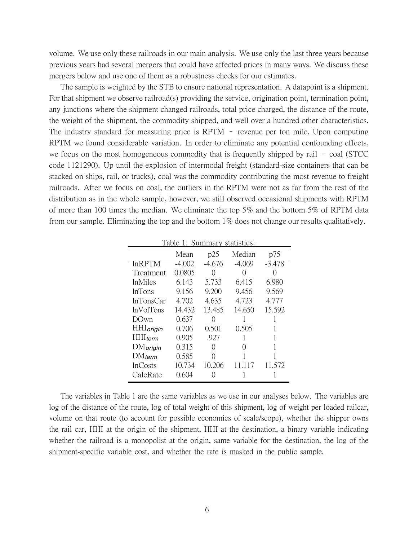volume. We use only these railroads in our main analysis. We use only the last three years because previous years had several mergers that could have affected prices in many ways. We discuss these mergers below and use one of them as a robustness checks for our estimates.

The sample is weighted by the STB to ensure national representation. A datapoint is a shipment. For that shipment we observe railroad(s) providing the service, origination point, termination point, any junctions where the shipment changed railroads, total price charged, the distance of the route, the weight of the shipment, the commodity shipped, and well over a hundred other characteristics. The industry standard for measuring price is RPTM – revenue per ton mile. Upon computing RPTM we found considerable variation. In order to eliminate any potential confounding effects, we focus on the most homogeneous commodity that is frequently shipped by rail – coal (STCC code 1121290). Up until the explosion of intermodal freight (standard-size containers that can be stacked on ships, rail, or trucks), coal was the commodity contributing the most revenue to freight railroads. After we focus on coal, the outliers in the RPTM were not as far from the rest of the distribution as in the whole sample, however, we still observed occasional shipments with RPTM of more than 100 times the median. We eliminate the top 5% and the bottom 5% of RPTM data from our sample. Eliminating the top and the bottom 1% does not change our results qualitatively.

| Table 1: Summary statistics. |          |                  |                  |                  |  |  |  |
|------------------------------|----------|------------------|------------------|------------------|--|--|--|
|                              | Mean     | p25              | Median           | p75              |  |  |  |
| <b>InRPTM</b>                | $-4.002$ | $-4.676$         | $-4.069$         | $-3.478$         |  |  |  |
| Treatment                    | 0.0805   | $\cap$           | $\left( \right)$ | $\left( \right)$ |  |  |  |
| <i>inMiles</i>               | 6.143    | 5.733            | 6.415            | 6.980            |  |  |  |
| <b>lnTons</b>                | 9.156    | 9.200            | 9.456            | 9.569            |  |  |  |
| 1nTonsCar                    | 4.702    | 4.635            | 4.723            | 4.777            |  |  |  |
| <i>lnVolTons</i>             | 14.432   | 13.485           | 14.650           | 15.592           |  |  |  |
| DOwn                         | 0.637    | $\left( \right)$ |                  |                  |  |  |  |
| <b>HHI</b> origin            | 0.706    | 0.501            | 0.505            |                  |  |  |  |
| <b>HHI</b> <sub>term</sub>   | 0.905    | .927             | 1                |                  |  |  |  |
| <b>DM</b> origin             | 0.315    | $\left( \right)$ | $\left( \right)$ |                  |  |  |  |
| $DM$ <sub>term</sub>         | 0.585    | $\left( \right)$ | 1                |                  |  |  |  |
| <b>lnCosts</b>               | 10.734   | 10.206           | 11 117           | 11.572           |  |  |  |
| CalcRate                     | 0.604    |                  |                  |                  |  |  |  |

The variables in Table 1 are the same variables as we use in our analyses below. The variables are log of the distance of the route, log of total weight of this shipment, log of weight per loaded railcar, volume on that route (to account for possible economies of scale/scope), whether the shipper owns the rail car, HHI at the origin of the shipment, HHI at the destination, a binary variable indicating whether the railroad is a monopolist at the origin, same variable for the destination, the log of the shipment-specific variable cost, and whether the rate is masked in the public sample.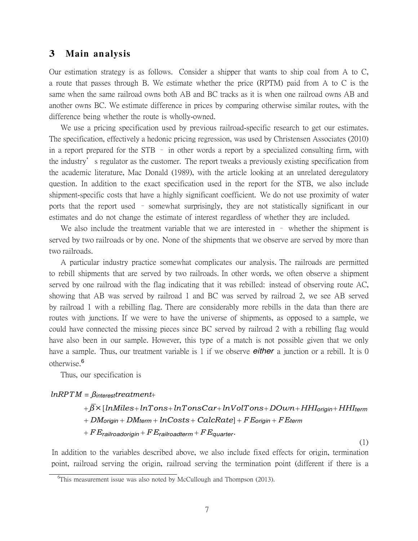### **3 Main an alysis**

Our estimation strategy is as follows. Consider a shipper that wants to ship coal from A to C, a route that passes through B. We estimate whether the price (RPTM) paid from A to C is the same when the same railroad owns both AB and BC tracks as it is when one railroad owns AB and another owns BC. We estimate difference in prices by comparing otherwise similar routes, with the difference being whether the route is wholly-owned.

We use a pricing specification used by previous railroad-specific research to get our estimates. The specification, effectively a hedonic pricing regression, was used by Christensen Associates (2010) in a report prepared for the STB – in other words a report by a specialized consulting firm, with the industry's regulator as the customer. The report tweaks a previously existing specification from the academic literature, Mac Donald (1989), with the article looking at an unrelated deregulatory question. In addition to the exact specification used in the report for the STB, we also include shipment-specific costs that have a highly significant coefficient. We do not use proximity of water ports that the report used – somewhat surprisingly, they are not statistically significant in our estimates and do not change the estimate of interest regardless of whether they are included.

We also include the treatment variable that we are interested in – whether the shipment is served by two railroads or by one. None of the shipments that we observe are served by more than two railroads.

A particular industry practice somewhat complicates our analysis. The railroads are permitted to rebill shipments that are served by two railroads. In other words, we often observe a shipment served by one railroad with the flag indicating that it was rebilled: instead of observing route AC, showing that AB was served by railroad 1 and BC was served by railroad 2, we see AB served by railroad 1 with a rebilling flag. There are considerably more rebills in the data than there are routes with junctions. If we were to have the universe of shipments, as opposed to a sample, we could have connected the missing pieces since BC served by railroad 2 with a rebilling flag would have also been in our sample. However, this type of a match is not possible given that we only have a sample. Thus, our treatment variable is 1 if we observe *either* a junction or a rebill. It is 0 otherwise.<sup>6</sup>

Thus, our specification is

*lnRPTM* = *βinteresttreatment*+

+ *β×* [*lnMiles*+ *lnTons*+ *lnTonsCar*+ *lnV olTons*+ *DOwn* + *HHIorigin* + *HHIterm* + *DMorigin* + *DMterm* + *lnCosts* + *CalcRate*] + *FEorigin* + *FEterm* + *FErailroadorigin* + *FErailroadterm* + *FEquarter.*

(1)

In addition to the variables described above, we also include fixed effects for origin, termination point, railroad serving the origin, railroad serving the termination point (different if there is a

<sup>&</sup>lt;sup>6</sup>This measurement issue was also noted by McCullough and Thompson (2013).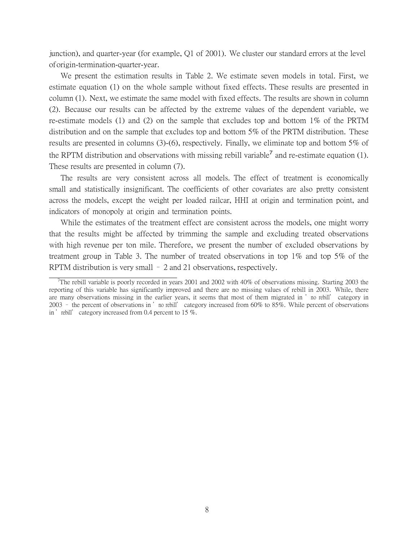junction), and quarter-year (for example, Q1 of 2001). We cluster our standard errors at the level oforigin-termination-quarter-year.

We present the estimation results in Table 2. We estimate seven models in total. First, we estimate equation (1) on the whole sample without fixed effects. These results are presented in column (1). Next, we estimate the same model with fixed effects. The results are shown in column (2). Because our results can be affected by the extreme values of the dependent variable, we re-estimate models (1) and (2) on the sample that excludes top and bottom 1% of the PRTM distribution and on the sample that excludes top and bottom 5% of the PRTM distribution. These results are presented in columns (3)-(6), respectively. Finally, we eliminate top and bottom 5% of the RPTM distribution and observations with missing rebill variable<sup>7</sup> and re-estimate equation (1). These results are presented in column (7).

The results are very consistent across all models. The effect of treatment is economically small and statistically insignificant. The coefficients of other covariates are also pretty consistent across the models, except the weight per loaded railcar, HHI at origin and termination point, and indicators of monopoly at origin and termination points.

While the estimates of the treatment effect are consistent across the models, one might worry that the results might be affected by trimming the sample and excluding treated observations with high revenue per ton mile. Therefore, we present the number of excluded observations by treatment group in Table 3. The number of treated observations in top 1% and top 5% of the RPTM distribution is very small – 2 and 21 observations, respectively.

<sup>&</sup>lt;sup>7</sup>The rebill variable is poorly recorded in years 2001 and 2002 with 40% of observations missing. Starting 2003 the reporting of this variable has significantly improved and there are no missing values of rebill in 2003. While, there are many observations missing in the earlier years, it seems that most of them migrated in 'no rebill' category in 2003 – the percent of observations in 'no rebill' category increased from 60% to 85%. While percent of observations in 'rebill' category increased from 0.4 percent to 15  $\%$ .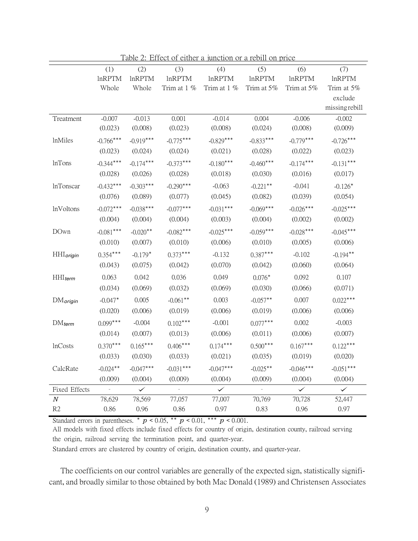|                       | (1)            | (2)           | (3)            | (4)           | (5)           | (6)           | (7)           |
|-----------------------|----------------|---------------|----------------|---------------|---------------|---------------|---------------|
|                       | <b>InRPTM</b>  | <b>InRPTM</b> | <b>lnRPTM</b>  | <b>lnRPTM</b> | <b>lnRPTM</b> | <b>lnRPTM</b> | <b>lnRPTM</b> |
|                       | Whole          | Whole         | Trim at 1 %    | Trim at 1 %   | Trim at 5%    | Trim at 5%    | Trim at 5%    |
|                       |                |               |                |               |               |               | exclude       |
|                       |                |               |                |               |               |               | missingrebill |
| Treatment             | $-0.007$       | $-0.013$      | 0.001          | $-0.014$      | 0.004         | $-0.006$      | $-0.002$      |
|                       | (0.023)        | (0.008)       | (0.023)        | (0.008)       | (0.024)       | (0.008)       | (0.009)       |
| lnMiles               | $-0.766***$    | $-0.919***$   | $-0.775***$    | $-0.829***$   | $-0.833***$   | $-0.779***$   | $-0.726***$   |
|                       | (0.023)        | (0.024)       | (0.024)        | (0.021)       | (0.028)       | (0.022)       | (0.023)       |
| <b>lnTons</b>         | $-0.344***$    | $-0.174***$   | $-0.373***$    | $-0.180***$   | $-0.460***$   | $-0.174***$   | $-0.131***$   |
|                       | (0.028)        | (0.026)       | (0.028)        | (0.018)       | (0.030)       | (0.016)       | (0.017)       |
| <b>lnTonscar</b>      | $-0.432***$    | $-0.303***$   | $-0.290***$    | $-0.063$      | $-0.221$ **   | $-0.041$      | $-0.126*$     |
|                       | (0.076)        | (0.089)       | (0.077)        | (0.045)       | (0.082)       | (0.039)       | (0.054)       |
| <b>lnVoltons</b>      | $-0.072***$    | $-0.038***$   | $-0.077***$    | $-0.031***$   | $-0.069***$   | $-0.026***$   | $-0.025***$   |
|                       | (0.004)        | (0.004)       | (0.004)        | (0.003)       | (0.004)       | (0.002)       | (0.002)       |
| DOwn                  | $-0.081***$    | $-0.020**$    | $-0.082***$    | $-0.025***$   | $-0.059***$   | $-0.028***$   | $-0.045***$   |
|                       | (0.010)        | (0.007)       | (0.010)        | (0.006)       | (0.010)       | (0.005)       | (0.006)       |
| <b>HHI</b> origin     | $0.354***$     | $-0.179*$     | $0.373***$     | $-0.132$      | $0.387***$    | $-0.102$      | $-0.194***$   |
|                       | (0.043)        | (0.075)       | (0.042)        | (0.070)       | (0.042)       | (0.060)       | (0.064)       |
| $HHI$ <sub>term</sub> | 0.063          | 0.042         | 0.036          | 0.049         | $0.076*$      | 0.092         | 0.107         |
|                       | (0.034)        | (0.069)       | (0.032)        | (0.069)       | (0.030)       | (0.066)       | (0.071)       |
| $DM$ origin           | $-0.047*$      | 0.005         | $-0.061**$     | 0.003         | $-0.057**$    | 0.007         | $0.022***$    |
|                       | (0.020)        | (0.006)       | (0.019)        | (0.006)       | (0.019)       | (0.006)       | (0.006)       |
| $DM_{term}$           | $0.099***$     | $-0.004$      | $0.102***$     | $-0.001$      | $0.077***$    | 0.002         | $-0.003$      |
|                       | (0.014)        | (0.007)       | (0.013)        | (0.006)       | (0.011)       | (0.006)       | (0.007)       |
| <b>lnCosts</b>        | $0.370***$     | $0.165***$    | $0.406***$     | $0.174***$    | $0.500***$    | $0.167***$    | $0.122***$    |
|                       | (0.033)        | (0.030)       | (0.033)        | (0.021)       | (0.035)       | (0.019)       | (0.020)       |
| CalcRate              | $-0.024***$    | $-0.047***$   | $-0.031***$    | $-0.047***$   | $-0.025***$   | $-0.046***$   | $-0.051***$   |
|                       | (0.009)        | (0.004)       | (0.009)        | (0.004)       | (0.009)       | (0.004)       | (0.004)       |
| Fixed Effects         | $\overline{a}$ | $\checkmark$  | $\overline{a}$ | $\checkmark$  |               | $\checkmark$  | $\checkmark$  |
| $\boldsymbol{N}$      | 78,629         | 78,569        | 77,057         | 77,007        | 70,769        | 70,728        | 52,447        |
| R2                    | 0.86           | 0.96          | 0.86           | 0.97          | 0.83          | 0.96          | 0.97          |

Table 2: Effect of either a junction or a rebill on price

Standard errors in parentheses.  $*$   $p < 0.05$ ,  $*$   $p < 0.01$ ,  $*$   $*$   $p < 0.001$ .

All models with fixed effects include fixed effects for country of origin, destination county, railroad serving the origin, railroad serving the termination point, and quarter-year.

Standard errors are clustered by country of origin, destination county, and quarter-year.

The coefficients on our control variables are generally of the expected sign, statistically significant, and broadly similar to those obtained by both Mac Donald (1989) and Christensen Associates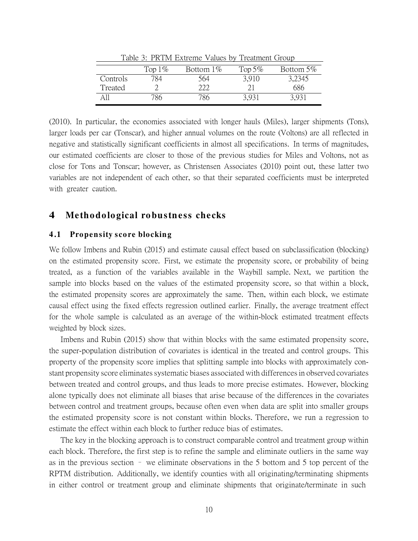| Lable 5. FINTIVE EXECUTE VALUES BY TIEALITICITY CLOUD |            |            |            |           |  |  |  |  |
|-------------------------------------------------------|------------|------------|------------|-----------|--|--|--|--|
|                                                       | Top 1 $\%$ | Bottom 1\% | Top 5 $\%$ | Bottom 5% |  |  |  |  |
| Controls                                              | 784        | 564        | 3,910      | 3,2345    |  |  |  |  |
| Treated                                               |            | 222        |            | 686       |  |  |  |  |
|                                                       | 786        | 786        | 3.931      | 3,931     |  |  |  |  |

Table 3: PRTM Extreme Values by Treatment Group

(2010). In particular, the economies associated with longer hauls (Miles), larger shipments (Tons), larger loads per car (Tonscar), and higher annual volumes on the route (Voltons) are all reflected in negative and statistically significant coefficients in almost all specifications. In terms of magnitudes, our estimated coefficients are closer to those of the previous studies for Miles and Voltons, not as close for Tons and Tonscar; however, as Christensen Associates (2010) point out, these latter two variables are not independent of each other, so that their separated coefficients must be interpreted with greater caution.

# **4 Me tho do lo gical ro bustn ess checks**

#### **4 .1 Propen sity sco re blockin g**

We follow Imbens and Rubin (2015) and estimate causal effect based on subclassification (blocking) on the estimated propensity score. First, we estimate the propensity score, or probability of being treated, as a function of the variables available in the Waybill sample. Next, we partition the sample into blocks based on the values of the estimated propensity score, so that within a block, the estimated propensity scores are approximately the same. Then, within each block, we estimate causal effect using the fixed effects regression outlined earlier. Finally, the average treatment effect for the whole sample is calculated as an average of the within-block estimated treatment effects weighted by block sizes.

Imbens and Rubin (2015) show that within blocks with the same estimated propensity score, the super-population distribution of covariates is identical in the treated and control groups. This property of the propensity score implies that splitting sample into blocks with approximately constant propensity score eliminates systematic biases associated with differences in observed covariates between treated and control groups, and thus leads to more precise estimates. However, blocking alone typically does not eliminate all biases that arise because of the differences in the covariates between control and treatment groups, because often even when data are split into smaller groups the estimated propensity score is not constant within blocks. Therefore, we run a regression to estimate the effect within each block to further reduce bias of estimates.

The key in the blocking approach is to construct comparable control and treatment group within each block. Therefore, the first step is to refine the sample and eliminate outliers in the same way as in the previous section – we eliminate observations in the 5 bottom and 5 top percent of the RPTM distribution. Additionally, we identify counties with all originating/terminating shipments in either control or treatment group and eliminate shipments that originate/terminate in such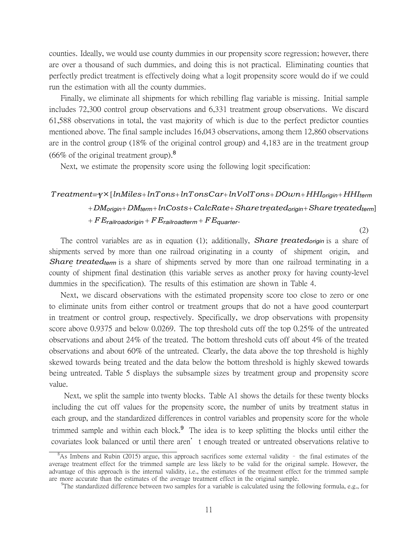counties. Ideally, we would use county dummies in our propensity score regression; however, there are over a thousand of such dummies, and doing this is not practical. Eliminating counties that perfectly predict treatment is effectively doing what a logit propensity score would do if we could run the estimation with all the county dummies.

Finally, we eliminate all shipments for which rebilling flag variable is missing. Initial sample includes 72,300 control group observations and 6,331 treatment group observations. We discard 61,588 observations in total, the vast majority of which is due to the perfect predictor counties mentioned above. The final sample includes 16,043 observations, among them 12,860 observations are in the control group (18% of the original control group) and 4,183 are in the treatment group  $(66\% \text{ of the original treatment group})$ <sup>8</sup>

Next, we estimate the propensity score using the following logit specification:

# *Treatment*= *γ×* [*lnMiles*+ *lnTons*+ *lnTonsCar*+ *lnV olTons*+ *DOwn* + *HHIorigin* + *HHIterm* + *DMorigin*+ *DMterm*+ *lnCosts*+ *CalcRate*+ *Sharetreatedorigin*+ *Sharetreatedterm*] + *FErailroadorigin* + *FErailroadterm* + *FEquarter.*

(2)

The control variables are as in equation (1); additionally, *Share treatedorigin* is a share of shipments served by more than one railroad originating in a county of shipment origin, and *Share treatedterm* is a share of shipments served by more than one railroad terminating in a county of shipment final destination (this variable serves as another proxy for having county-level dummies in the specification). The results of this estimation are shown in Table 4.

Next, we discard observations with the estimated propensity score too close to zero or one to eliminate units from either control or treatment groups that do not a have good counterpart in treatment or control group, respectively. Specifically, we drop observations with propensity score above 0.9375 and below 0.0269. The top threshold cuts off the top 0.25% of the untreated observations and about 24% of the treated. The bottom threshold cuts off about 4% of the treated observations and about 60% of the untreated. Clearly, the data above the top threshold is highly skewed towards being treated and the data below the bottom threshold is highly skewed towards being untreated. Table 5 displays the subsample sizes by treatment group and propensity score value.

Next, we split the sample into twenty blocks. Table A1 shows the details for these twenty blocks including the cut off values for the propensity score, the number of units by treatment status in each group, and the standardized differences in control variables and propensity score for the whole trimmed sample and within each block.<sup>9</sup> The idea is to keep splitting the blocks until either the covariates look balanced or until there aren't enough treated or untreated observations relative to

 $8$ As Imbens and Rubin (2015) argue, this approach sacrifices some external validity - the final estimates of the average treatment effect for the trimmed sample are less likely to be valid for the original sample. However, the advantage of this approach is the internal validity, i.e., the estimates of the treatment effect for the trimmed sample are more accurate than the estimates of the average treatment effect in the original sample.

<sup>&</sup>lt;sup>9</sup>The standardized difference between two samples for a variable is calculated using the following formula, e.g., for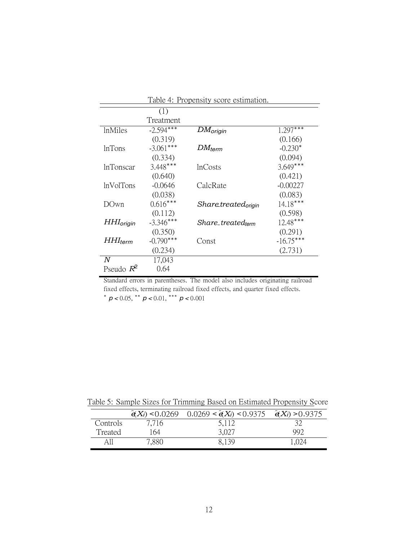| Table 4. Propensity score esumation. |             |                                      |             |  |  |  |
|--------------------------------------|-------------|--------------------------------------|-------------|--|--|--|
|                                      | (1)         |                                      |             |  |  |  |
|                                      | Treatment   |                                      |             |  |  |  |
| <i>InMiles</i>                       | $-2.594***$ | $DM_{origin}$                        | $1.297***$  |  |  |  |
|                                      | (0.319)     |                                      | (0.166)     |  |  |  |
| <b>lnTons</b>                        | $-3.061***$ | $DM_{term}$                          | $-0.230*$   |  |  |  |
|                                      | (0.334)     |                                      | (0.094)     |  |  |  |
| <b>lnTonscar</b>                     | $3.448***$  | <b>InCosts</b>                       | $3.649***$  |  |  |  |
|                                      | (0.640)     |                                      | (0.421)     |  |  |  |
| <b>lnVolTons</b>                     | $-0.0646$   | CalcRate                             | $-0.00227$  |  |  |  |
|                                      | (0.038)     |                                      | (0.083)     |  |  |  |
| <b>DOwn</b>                          | $0.616***$  | <i>Sharetreated<sub>origin</sub></i> | $14.18***$  |  |  |  |
|                                      | (0.112)     |                                      | (0.598)     |  |  |  |
| $HH$ <sub>origin</sub>               | $-3.346***$ | Share-treatedterm                    | $12.48***$  |  |  |  |
|                                      | (0.350)     |                                      | (0.291)     |  |  |  |
| $HHI_{term}$                         | $-0.790***$ | Const                                | $-16.75***$ |  |  |  |
|                                      | (0.234)     |                                      | (2.731)     |  |  |  |
| N                                    | 17,043      |                                      |             |  |  |  |
| Pseudo $R^2$                         | 0.64        |                                      |             |  |  |  |

Table 4: Propensity score estimation.

Standard errors in parentheses. The model also includes originating railroad fixed effects, terminating railroad fixed effects, and quarter fixed effects. *∗ p <* 0*.*05, *∗∗ p <* 0*.*01, *∗∗∗ p <* 0*.*001

|  |  | Table 5: Sample Sizes for Trimming Based on Estimated Propensity Score |  |
|--|--|------------------------------------------------------------------------|--|
|  |  |                                                                        |  |

|          |       | $\hat{\mathbf{e}}(X_i)$ < 0.0269 0.0269 < $\hat{\mathbf{e}}(X_i)$ < 0.9375 $\hat{\mathbf{e}}(X_i)$ > 0.9375 |       |
|----------|-------|-------------------------------------------------------------------------------------------------------------|-------|
| Controls | 7.716 | 5,112                                                                                                       |       |
| Treated  | 164   | 3,027                                                                                                       | 992   |
| All      | 7,880 | 8.139                                                                                                       | 1.024 |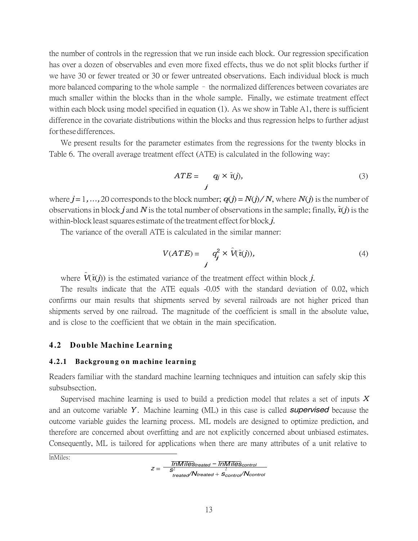the number of controls in the regression that we run inside each block. Our regression specification has over a dozen of observables and even more fixed effects, thus we do not split blocks further if we have 30 or fewer treated or 30 or fewer untreated observations. Each individual block is much more balanced comparing to the whole sample – the normalized differences between covariates are much smaller within the blocks than in the whole sample. Finally, we estimate treatment effect within each block using model specified in equation (1). As we show in Table A1, there is sufficient difference in the covariate distributions within the blocks and thus regression helps to further adjust forthesedifferences.

We present results for the parameter estimates from the regressions for the twenty blocks in Table 6. The overall average treatment effect (ATE) is calculated in the following way:

$$
ATE = q_j \times \hat{\tau}(j),
$$
\n(3)

where  $j = 1, ..., 20$  corresponds to the block number;  $q(j) = N(j)/N$ , where  $N(j)$  is the number of observations in block *j* and *N* is the total number of observations in the sample; finally,  $\hat{\tau}(j)$  is the within-block least squares estimate of the treatment effect for block *j*.

The variance of the overall ATE is calculated in the similar manner:

$$
V(ATE) = \underset{j}{q_j^2} \times \hat{V}(\hat{\tau}(j)),\tag{4}
$$

where  $\hat{V}(\hat{\tau}(t))$  is the estimated variance of the treatment effect within block *j*.

The results indicate that the ATE equals -0.05 with the standard deviation of 0.02, which confirms our main results that shipments served by several railroads are not higher priced than shipments served by one railroad. The magnitude of the coefficient is small in the absolute value, and is close to the coefficient that we obtain in the main specification.

#### **4 .2 Do uble Machin e Learnin g**

#### **4 .2.1 Backgro un g o n m achine learnin g**

Readers familiar with the standard machine learning techniques and intuition can safely skip this subsubsection.

Supervised machine learning is used to build a prediction model that relates a set of inputs *X* and an outcome variable *Y* . Machine learning (ML) in this case is called *supervised* because the outcome variable guides the learning process. ML models are designed to optimize prediction, and therefore are concerned about overfitting and are not explicitly concerned about unbiased estimates. Consequently, ML is tailored for applications when there are many attributes of a unit relative to

lnMiles:

$$
z = \frac{\overline{InMiles}_{treated} - \overline{InMiles}_{control}}{\overline{s}^2_{treated} + \overline{s}^2_{control}}
$$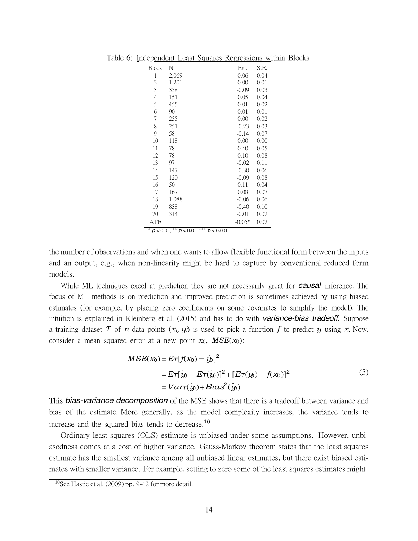| Block          | N                                      | Est.     | S.E. |
|----------------|----------------------------------------|----------|------|
| 1              | 2,069                                  | 0.06     | 0.04 |
| $\overline{c}$ | 1,201                                  | 0.00     | 0.01 |
| 3              | 358                                    | $-0.09$  | 0.03 |
| $\overline{4}$ | 151                                    | 0.05     | 0.04 |
| 5              | 455                                    | 0.01     | 0.02 |
| 6              | 90                                     | 0.01     | 0.01 |
| 7              | 255                                    | 0.00     | 0.02 |
| 8              | 251                                    | $-0.23$  | 0.03 |
| 9              | 58                                     | $-0.14$  | 0.07 |
| 10             | 118                                    | 0.00     | 0.00 |
| 11             | 78                                     | 0.40     | 0.05 |
| 12             | 78                                     | 0.10     | 0.08 |
| 13             | 97                                     | $-0.02$  | 0.11 |
| 14             | 147                                    | $-0.30$  | 0.06 |
| 15             | 120                                    | $-0.09$  | 0.08 |
| 16             | 50                                     | 0.11     | 0.04 |
| 17             | 167                                    | 0.08     | 0.07 |
| 18             | 1,088                                  | $-0.06$  | 0.06 |
| 19             | 838                                    | $-0.40$  | 0.10 |
| 20             | 314                                    | $-0.01$  | 0.02 |
| ATE            |                                        | $-0.05*$ | 0.02 |
| $p < 0.05$ ,   | ***<br>**<br>$p < 0.01$ ,<br>p < 0.001 |          |      |

Table 6: Independent Least Squares Regressions within Blocks

the number of observations and when one wants to allow flexible functional form between the inputs and an output, e.g., when non-linearity might be hard to capture by conventional reduced form

While ML techniques excel at prediction they are not necessarily great for *causal* inference. The focus of ML methods is on prediction and improved prediction is sometimes achieved by using biased estimates (for example, by placing zero coefficients on some covariates to simplify the model). The intuition is explained in Kleinberg et al. (2015) and has to do with *variance-bias tradeoff*. Suppose a training dataset T of *n* data points  $(x_i, y_i)$  is used to pick a function f to predict y using x. Now, consider a mean squared error at a new point *x*0, *MSE*(*x*0):

$$
MSE(x_0) = E_T[f(x_0) - \hat{y}_0]^2
$$
  
= 
$$
E_T[\hat{y}_0 - E_T(\hat{y}_0)]^2 + [E_T(\hat{y}_0) - f(x_0)]^2
$$
  
= 
$$
Var_T(\hat{y}_0) + Bias^2(\hat{y}_0)
$$
 (5)

This *bias-variance decomposition* of the MSE shows that there is a tradeoff between variance and bias of the estimate. More generally, as the model complexity increases, the variance tends to increase and the squared bias tends to decrease.<sup>10</sup>

Ordinary least squares (OLS) estimate is unbiased under some assumptions. However, unbiasedness comes at a cost of higher variance. Gauss-Markov theorem states that the least squares estimate has the smallest variance among all unbiased linear estimates, but there exist biased estimates with smaller variance. For example, setting to zero some of the least squares estimates might

models.

 $10$ See Hastie et al. (2009) pp. 9-42 for more detail.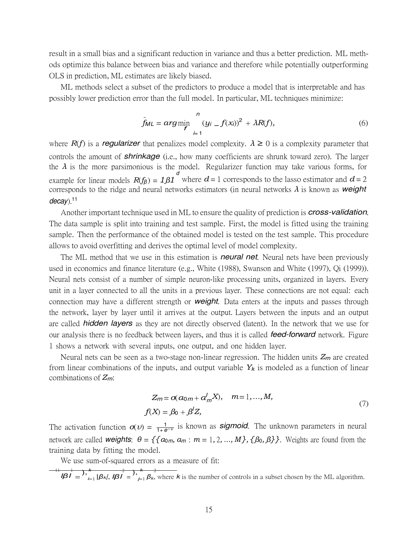result in a small bias and a significant reduction in variance and thus a better prediction. ML methods optimize this balance between bias and variance and therefore while potentially outperforming OLS in prediction, ML estimates are likely biased.

ML methods select a subset of the predictors to produce a model that is interpretable and has possibly lower prediction error than the full model. In particular, ML techniques minimize:

$$
\hat{f}_{ML} = \arg\min_{f} \frac{n}{(y_i - f(x_i))^2 + \lambda R(f)},
$$
\n(6)

where  $R(f)$  is a *regularizer* that penalizes model complexity.  $\lambda \ge 0$  is a complexity parameter that controls the amount of *shrinkage* (i.e., how many coefficients are shrunk toward zero). The larger the  $\lambda$  is the more parsimonious is the model. Regularizer function may take various forms, for example for linear models  $R(f_\beta) = 1\beta1 \frac{d}{d}$  where  $d = 1$  corresponds to the lasso estimator and  $d = 2$ corresponds to the ridge and neural networks estimators (in neural networks *λ* is known as *weight decay*).<sup>11</sup>

Another important technique used in ML to ensure the quality of prediction is *cross-validation*. The data sample is split into training and test sample. First, the model is fitted using the training sample. Then the performance of the obtained model is tested on the test sample. This procedure allows to avoid overfitting and derives the optimal level of model complexity.

The ML method that we use in this estimation is *neural net*. Neural nets have been previously used in economics and finance literature (e.g., White (1988), Swanson and White (1997), Qi (1999)). Neural nets consist of a number of simple neuron-like processing units, organized in layers. Every unit in a layer connected to all the units in a previous layer. These connections are not equal: each connection may have a different strength or *weight*. Data enters at the inputs and passes through the network, layer by layer until it arrives at the output. Layers between the inputs and an output are called *hidden layers* as they are not directly observed (latent). In the network that we use for our analysis there is no feedback between layers, and thus it is called *feed-forward* network. Figure 1 shows a network with several inputs, one output, and one hidden layer.

Neural nets can be seen as a two-stage non-linear regression. The hidden units *Zm* are created from linear combinations of the inputs, and output variable *Yk* is modeled as a function of linear combinations of *Zm*:

$$
Z_m = \sigma(a_{0m} + a'_m X), \quad m = 1, \dots, M,
$$
  

$$
f(X) = \beta_0 + \beta' Z,
$$
 (7)

The activation function  $\sigma(v) = \frac{1}{1+e^{-v}}$  is known as *sigmoid*. The unknown parameters in neural network are called **weights**:  $\theta = \{\{a_{0m}, a_m : m = 1, 2, ..., M\}, \{\beta_0, \beta\}\}\.$  Weights are found from the training data by fitting the model.

We use sum-of-squared errors as a measure of fit:

$$
\frac{11}{|\mathbf{B1}|} = \frac{1}{\sum_{i=1}^{k} |\mathbf{B}_k|, |\mathbf{B1}|^2} = \frac{1}{\sum_{j=1}^{k} |\mathbf{B}_k|, \text{ where } k \text{ is the number of controls in a subset chosen by the ML algorithm.}
$$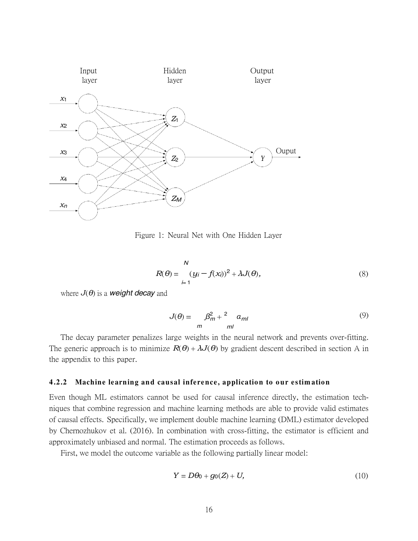

Figure 1: Neural Net with One Hidden Layer

$$
R(\theta) = \frac{N}{\mu + 1} (y_i - f(x_i))^2 + \lambda J(\theta),
$$
\n(8)

where  $J(\theta)$  is a **weight decay** and

$$
J(\theta) = \frac{\beta_m^2 + \alpha_{ml}}{m}
$$
 (9)

The decay parameter penalizes large weights in the neural network and prevents over-fitting. The generic approach is to minimize  $R(\theta) + \lambda J(\theta)$  by gradient descent described in section A in the appendix to this paper.

#### **4 .2.2 Machine learning an d causal infere nce, applicatio n to o ur es tim atio n**

Even though ML estimators cannot be used for causal inference directly, the estimation techniques that combine regression and machine learning methods are able to provide valid estimates of causal effects. Specifically, we implement double machine learning (DML) estimator developed by Chernozhukov et al. (2016). In combination with cross-fitting, the estimator is efficient and approximately unbiased and normal. The estimation proceeds as follows.

First, we model the outcome variable as the following partially linear model:

$$
Y = D\theta_0 + g_0(Z) + U,\tag{10}
$$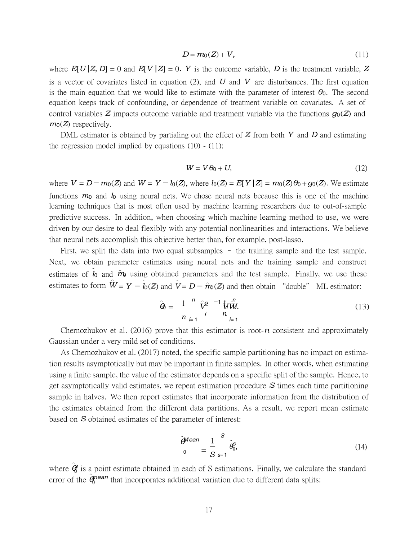$$
D = m_0(Z) + V,\tag{11}
$$

where  $E[U|Z, D] = 0$  and  $E[V|Z] = 0$ . Y is the outcome variable, *D* is the treatment variable, *Z* is a vector of covariates listed in equation (2), and *U* and *V* are disturbances. The first equation is the main equation that we would like to estimate with the parameter of interest  $\theta_0$ . The second equation keeps track of confounding, or dependence of treatment variable on covariates. A set of control variables *Z* impacts outcome variable and treatment variable via the functions *g*0(*Z*) and  $m_0(Z)$  respectively.

DML estimator is obtained by partialing out the effect of *Z* from both *Y* and *D* and estimating the regression model implied by equations  $(10)$  -  $(11)$ :

$$
W = V\theta_0 + U,\tag{12}
$$

where  $V = D - m_0(Z)$  and  $W = Y - l_0(Z)$ , where  $l_0(Z) = E[Y | Z] = m_0(Z) \theta_0 + q_0(Z)$ . We estimate functions *m*0 and *l*0 using neural nets. We chose neural nets because this is one of the machine learning techniques that is most often used by machine learning researchers due to out-of-sample predictive success. In addition, when choosing which machine learning method to use, we were driven by our desire to deal flexibly with any potential nonlinearities and interactions. We believe that neural nets accomplish this objective better than, for example, post-lasso.

First, we split the data into two equal subsamples - the training sample and the test sample. Next, we obtain parameter estimates using neural nets and the training sample and construct estimates of  $\hat{l}_0$  and  $\hat{m}_0$  using obtained parameters and the test sample. Finally, we use these estimates to form  $\hat{W} = Y - \hat{l}_0(Z)$  and  $\hat{V} = D - \hat{m}_0(Z)$  and then obtain "double" ML estimator:

$$
\hat{\mathbf{\Theta}} = \frac{1}{n} \sum_{i=1}^{n} \hat{\mathbf{V}}^{2} \frac{1}{n} \hat{\mathbf{W}}^{n}.
$$
\n(13)

Chernozhukov et al. (2016) prove that this estimator is root- $n$  consistent and approximately Gaussian under a very mild set of conditions.

As Chernozhukov et al. (2017) noted, the specific sample partitioning has no impact on estimation results asymptotically but may be important in finite samples. In other words, when estimating using a finite sample, the value of the estimator depends on a specific split of the sample. Hence, to get asymptotically valid estimates, we repeat estimation procedure *S* times each time partitioning sample in halves. We then report estimates that incorporate information from the distribution of the estimates obtained from the different data partitions. As a result, we report mean estimate based on *S* obtained estimates of the parameter of interest:

$$
\hat{\theta}^{\text{Mean}} = \frac{1}{S} \hat{\theta}_0^s, \tag{14}
$$

where  $\hat{\boldsymbol{\theta}}$  is a point estimate obtained in each of S estimations. Finally, we calculate the standard error of the  $\hat{\pmb{\theta}}^{mean}$  that incorporates additional variation due to different data splits: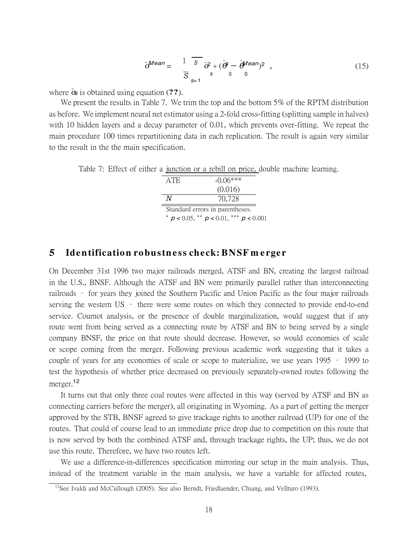$$
\hat{\sigma}^{\text{Mean}} = \frac{1}{\overline{S}} \frac{\overline{s}}{s} \hat{\sigma}^2 + (\hat{\theta} - \hat{\theta}^{\text{Mean}})^2 , \qquad (15)
$$

where *σ*ˆ*s* is obtained using equation (**??**).

We present the results in Table 7. We trim the top and the bottom 5% of the RPTM distribution as before. We implement neural net estimator using a 2-fold cross-fitting (splitting sample in halves) with 10 hidden layers and a decay parameter of 0.01, which prevents over-fitting. We repeat the main procedure 100 times repartitioning data in each replication. The result is again very similar to the result in the the main specification.

Table 7: Effect of either a junction or a rebill on price, double machine learning.

| ATE. | $-()$ .() $6***$                               |
|------|------------------------------------------------|
|      | (0.016)                                        |
| N    | 70,728                                         |
|      | Standard errors in parentheses.                |
|      | * $p < 0.05$ , ** $p < 0.01$ , *** $p < 0.001$ |

# **5 Iden tification robustn e ss check: BNSF m e rger**

On December 31st 1996 two major railroads merged, ATSF and BN, creating the largest railroad in the U.S., BNSF. Although the ATSF and BN were primarily parallel rather than interconnecting railroads – for years they joined the Southern Pacific and Union Pacific as the four major railroads serving the western US – there were some routes on which they connected to provide end-to-end service. Cournot analysis, or the presence of double marginalization, would suggest that if any route went from being served as a connecting route by ATSF and BN to being served by a single company BNSF, the price on that route should decrease. However, so would economies of scale or scope coming from the merger. Following previous academic work suggesting that it takes a couple of years for any economies of scale or scope to materialize, we use years 1995 – 1999 to test the hypothesis of whether price decreased on previously separately-owned routes following the merger.<sup>12</sup>

It turns out that only three coal routes were affected in this way (served by ATSF and BN as connecting carriers before the merger), all originating in Wyoming. As a part of getting the merger approved by the STB, BNSF agreed to give trackage rights to another railroad (UP) for one of the routes. That could of course lead to an immediate price drop due to competition on this route that is now served by both the combined ATSF and, through trackage rights, the UP; thus, we do not use this route. Therefore, we have two routes left.

We use a difference-in-differences specification mirroring our setup in the main analysis. Thus, instead of the treatment variable in the main analysis, we have a variable for affected routes,

<sup>&</sup>lt;sup>12</sup>See Ivaldi and McCullough (2005). See also Berndt, Friedlaender, Chiang, and Vellturo (1993).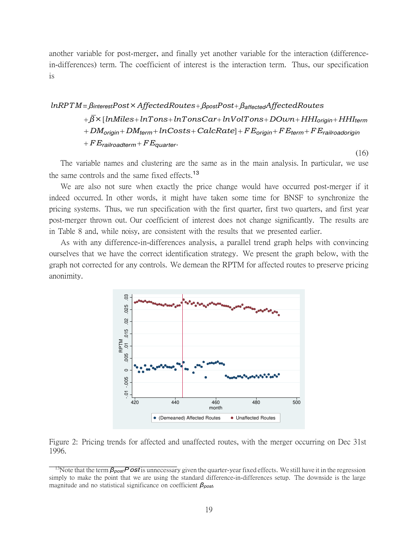another variable for post-merger, and finally yet another variable for the interaction (differencein-differences) term. The coefficient of interest is the interaction term. Thus, our specification is

# *lnRPTM* = *βinterestP ost× AffectedRoutes*+ *βpostP ost*+ *βaffectedAffectedRoutes* + *β×* [*lnMiles*+ *lnTons*+ *lnTonsCar*+ *lnV olTons*+ *DOwn* + *HHIorigin* + *HHIterm* + *DMorigin* + *DMterm* + *lnCosts*+ *CalcRate*] + *FEorigin* + *FEterm* + *FErailroadorigin* + *FErailroadterm* + *FEquarter.*

The variable names and clustering are the same as in the main analysis. In particular, we use the same controls and the same fixed effects.<sup>13</sup>

(16)

We are also not sure when exactly the price change would have occurred post-merger if it indeed occurred. In other words, it might have taken some time for BNSF to synchronize the pricing systems. Thus, we run specification with the first quarter, first two quarters, and first year post-merger thrown out. Our coefficient of interest does not change significantly. The results are in Table 8 and, while noisy, are consistent with the results that we presented earlier.

As with any difference-in-differences analysis, a parallel trend graph helps with convincing ourselves that we have the correct identification strategy. We present the graph below, with the graph not corrected for any controls. We demean the RPTM for affected routes to preserve pricing anonimity.



Figure 2: Pricing trends for affected and unaffected routes, with the merger occurring on Dec 31st 1996.

<sup>13</sup>Note that the term *βpostPost* is unnecessary given the quarter-year fixed effects. We still have it in the regression simply to make the point that we are using the standard difference-in-differences setup. The downside is the large magnitude and no statistical significance on coefficient *βpost*.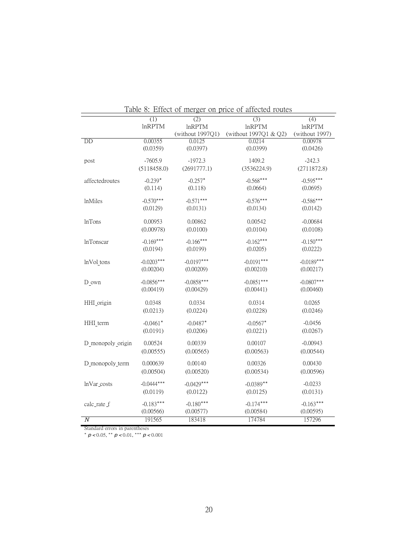| Table 8: Effect of merger on price of affected routes |               |                  |                       |                |  |  |  |
|-------------------------------------------------------|---------------|------------------|-----------------------|----------------|--|--|--|
|                                                       | (1)           | $\overline{(2)}$ | $\overline{(3)}$      | (4)            |  |  |  |
|                                                       | <b>InRPTM</b> | <b>InRPTM</b>    | $ln$ RPTM             | $ln$ RPTM      |  |  |  |
|                                                       |               | (without 1997Q1) | (without 1997Q1 & Q2) | (without 1997) |  |  |  |
| <b>DD</b>                                             | 0.00355       | 0.0125           | 0.0214                | 0.00978        |  |  |  |
|                                                       | (0.0359)      | (0.0397)         | (0.0399)              | (0.0426)       |  |  |  |
|                                                       |               |                  |                       |                |  |  |  |
| post                                                  | $-7605.9$     | $-1972.3$        | 1409.2                | $-242.3$       |  |  |  |
|                                                       | (5118458.0)   | (2691777.1)      | (3536224.9)           | (2711872.8)    |  |  |  |
|                                                       | $-0.239*$     | $-0.257*$        | $-0.568***$           | $-0.595***$    |  |  |  |
| affectedroutes                                        |               |                  |                       |                |  |  |  |
|                                                       | (0.114)       | (0.118)          | (0.0664)              | (0.0695)       |  |  |  |
| <i>lnMiles</i>                                        | $-0.570***$   | $-0.571***$      | $-0.576***$           | $-0.586***$    |  |  |  |
|                                                       | (0.0129)      | (0.0131)         | (0.0134)              | (0.0142)       |  |  |  |
|                                                       |               |                  |                       |                |  |  |  |
| <b>lnTons</b>                                         | 0.00953       | 0.00862          | 0.00542               | $-0.00684$     |  |  |  |
|                                                       | (0.00978)     | (0.0100)         | (0.0104)              | (0.0108)       |  |  |  |
|                                                       |               |                  |                       |                |  |  |  |
| <b>InTonscar</b>                                      | $-0.169***$   | $-0.166***$      | $-0.162***$           | $-0.150***$    |  |  |  |
|                                                       | (0.0194)      | (0.0199)         | (0.0205)              | (0.0222)       |  |  |  |
| lnVol_tons                                            | $-0.0203***$  | $-0.0197***$     | $-0.0191***$          | $-0.0189***$   |  |  |  |
|                                                       | (0.00204)     | (0.00209)        | (0.00210)             | (0.00217)      |  |  |  |
|                                                       |               |                  |                       |                |  |  |  |
| $D_$ own                                              | $-0.0856***$  | $-0.0858***$     | $-0.0851***$          | $-0.0807***$   |  |  |  |
|                                                       | (0.00419)     | (0.00429)        | (0.00441)             | (0.00460)      |  |  |  |
|                                                       |               |                  |                       |                |  |  |  |
| HHI origin                                            | 0.0348        | 0.0334           | 0.0314                | 0.0265         |  |  |  |
|                                                       | (0.0213)      | (0.0224)         | (0.0228)              | (0.0246)       |  |  |  |
|                                                       |               |                  |                       |                |  |  |  |
| HHI_term                                              | $-0.0461*$    | $-0.0487*$       | $-0.0567*$            | $-0.0456$      |  |  |  |
|                                                       | (0.0191)      | (0.0206)         | (0.0221)              | (0.0267)       |  |  |  |
| D monopoly origin                                     | 0.00524       | 0.00339          | 0.00107               | $-0.00943$     |  |  |  |
|                                                       | (0.00555)     | (0.00565)        | (0.00563)             | (0.00544)      |  |  |  |
|                                                       |               |                  |                       |                |  |  |  |
| D_monopoly_term                                       | 0.000639      | 0.00140          | 0.00326               | 0.00430        |  |  |  |
|                                                       | (0.00504)     | (0.00520)        | (0.00534)             | (0.00596)      |  |  |  |
|                                                       |               |                  |                       |                |  |  |  |
| lnVar_costs                                           | $-0.0444***$  | $-0.0429***$     | $-0.0389**$           | $-0.0233$      |  |  |  |
|                                                       | (0.0119)      | (0.0122)         | (0.0125)              | (0.0131)       |  |  |  |
| calc_rate_f                                           | $-0.183***$   | $-0.180***$      | $-0.174***$           | $-0.163***$    |  |  |  |
|                                                       | (0.00566)     | (0.00577)        | (0.00584)             | (0.00595)      |  |  |  |
|                                                       |               |                  |                       |                |  |  |  |
| $\overline{N}$                                        | 191565        | 183418           | 174784                | 157296         |  |  |  |

Table 8: Effect of merger on price of affected routes

Standard errors in parentheses *∗ p <* 0*.*05, *∗∗ p <* 0*.*01, *∗∗∗ p <* 0*.*001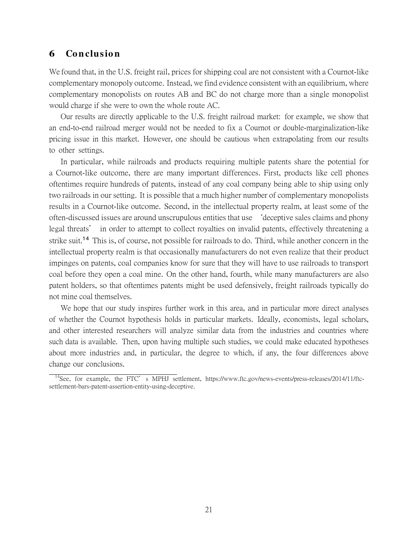### **6 Co n clusio n**

We found that, in the U.S. freight rail, prices for shipping coal are not consistent with a Cournot-like complementary monopoly outcome. Instead, we find evidence consistent with an equilibrium, where complementary monopolists on routes AB and BC do not charge more than a single monopolist would charge if she were to own the whole route AC.

Our results are directly applicable to the U.S. freight railroad market: for example, we show that an end-to-end railroad merger would not be needed to fix a Cournot or double-marginalization-like pricing issue in this market. However, one should be cautious when extrapolating from our results to other settings.

In particular, while railroads and products requiring multiple patents share the potential for a Cournot-like outcome, there are many important differences. First, products like cell phones oftentimes require hundreds of patents, instead of any coal company being able to ship using only two railroads in our setting. It is possible that a much higher number of complementary monopolists results in a Cournot-like outcome. Second, in the intellectual property realm, at least some of the often-discussed issues are around unscrupulous entities that use 'deceptive sales claims and phony legal threats' in order to attempt to collect royalties on invalid patents, effectively threatening a strike suit.<sup>14</sup> This is, of course, not possible for railroads to do. Third, while another concern in the intellectual property realm is that occasionally manufacturers do not even realize that their product impinges on patents, coal companies know for sure that they will have to use railroads to transport coal before they open a coal mine. On the other hand, fourth, while many manufacturers are also patent holders, so that oftentimes patents might be used defensively, freight railroads typically do not mine coal themselves.

We hope that our study inspires further work in this area, and in particular more direct analyses of whether the Cournot hypothesis holds in particular markets. Ideally, economists, legal scholars, and other interested researchers will analyze similar data from the industries and countries where such data is available. Then, upon having multiple such studies, we could make educated hypotheses about more industries and, in particular, the degree to which, if any, the four differences above change our conclusions.

<sup>&</sup>lt;sup>14</sup>See, for example, the FTC's MPHJ settlement, https://www.ftc.gov/news-events/press-releases/2014/11/ftcsettlement-bars-patent-assertion-entity-using-deceptive.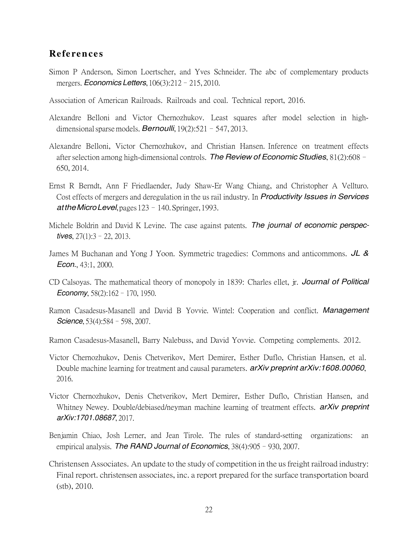## **Re fe ren ce s**

- Simon P Anderson, Simon Loertscher, and Yves Schneider. The abc of complementary products mergers. *Economics Letters*, 106(3):212–215, 2010.
- Association of American Railroads. Railroads and coal. Technical report, 2016.
- Alexandre Belloni and Victor Chernozhukov. Least squares after model selection in highdimensional sparse models. *Bernoulli*, 19(2):521–547, 2013.
- Alexandre Belloni, Victor Chernozhukov, and Christian Hansen. Inference on treatment effects after selection among high-dimensional controls. *The Review of Economic Studies*, 81(2):608– 650, 2014.
- Ernst R Berndt, Ann F Friedlaender, Judy Shaw-Er Wang Chiang, and Christopher A Vellturo. Cost effects of mergers and deregulation in the us rail industry. In *Productivity Issues in Services attheMicro Level*, pages 123–140. Springer, 1993.
- Michele Boldrin and David K Levine. The case against patents. *The journal of economic perspectives*, 27(1):3–22, 2013.
- James M Buchanan and Yong J Yoon. Symmetric tragedies: Commons and anticommons. *JL & Econ.*, 43:1, 2000.
- CD Calsoyas. The mathematical theory of monopoly in 1839: Charles ellet, jr. *Journal of Political Economy*, 58(2):162–170, 1950.
- Ramon Casadesus-Masanell and David B Yovvie. Wintel: Cooperation and conflict. *Management Science*, 53(4):584–598, 2007.
- Ramon Casadesus-Masanell, Barry Nalebuss, and David Yovvie. Competing complements. 2012.
- Victor Chernozhukov, Denis Chetverikov, Mert Demirer, Esther Duflo, Christian Hansen, et al. Double machine learning for treatment and causal parameters. *arXiv preprint arXiv:1608.00060*, 2016.
- Victor Chernozhukov, Denis Chetverikov, Mert Demirer, Esther Duflo, Christian Hansen, and Whitney Newey. Double/debiased/neyman machine learning of treatment effects. *arXiv preprint arXiv:1701.08687*, 2017.
- Benjamin Chiao, Josh Lerner, and Jean Tirole. The rules of standard-setting organizations: an empirical analysis. *The RAND Journal of Economics*, 38(4):905–930, 2007.
- Christensen Associates. An update to the study of competition in the usfreight railroad industry: Final report. christensen associates, inc. a report prepared for the surface transportation board (stb), 2010.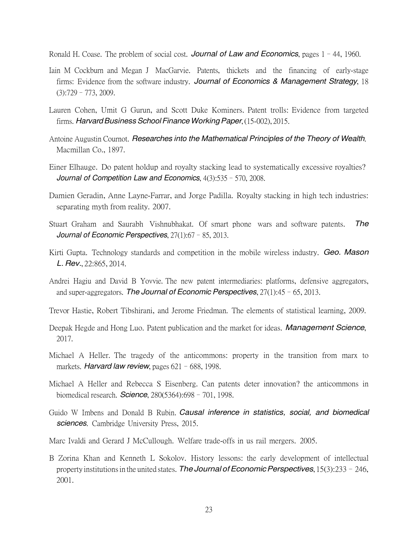Ronald H. Coase. The problem of social cost. *Journal of Law and Economics*, pages 1–44, 1960.

- Iain M Cockburn and Megan J MacGarvie. Patents, thickets and the financing of early-stage firms: Evidence from the software industry. *Journal of Economics & Management Strategy*, 18  $(3):729 - 773, 2009.$
- Lauren Cohen, Umit G Gurun, and Scott Duke Kominers. Patent trolls: Evidence from targeted firms. *Harvard Business School Finance Working Paper*, (15-002), 2015.
- Antoine Augustin Cournot. *Researches into the Mathematical Principles of the Theory of Wealth*. Macmillan Co., 1897.
- Einer Elhauge. Do patent holdup and royalty stacking lead to systematically excessive royalties? *Journal of Competition Law and Economics*, 4(3):535–570, 2008.
- Damien Geradin, Anne Layne-Farrar, and Jorge Padilla. Royalty stacking in high tech industries: separating myth from reality. 2007.
- Stuart Graham and Saurabh Vishnubhakat. Of smart phone wars and software patents. *The Journal of Economic Perspectives*, 27(1):67–85, 2013.
- Kirti Gupta. Technology standards and competition in the mobile wireless industry. *Geo. Mason L. Rev.*, 22:865, 2014.
- Andrei Hagiu and David B Yovvie. The new patent intermediaries: platforms, defensive aggregators, and super-aggregators. *The Journal of Economic Perspectives*, 27(1):45–65, 2013.
- Trevor Hastie, Robert Tibshirani, and Jerome Friedman. The elements of statistical learning, 2009.
- Deepak Hegde and Hong Luo. Patent publication and the market for ideas. *Management Science*, 2017.
- Michael A Heller. The tragedy of the anticommons: property in the transition from marx to markets. *Harvard law review*, pages 621–688, 1998.
- Michael A Heller and Rebecca S Eisenberg. Can patents deter innovation? the anticommons in biomedical research. *Science*, 280(5364):698–701, 1998.
- Guido W Imbens and Donald B Rubin. *Causal inference in statistics, social, and biomedical sciences*. Cambridge University Press, 2015.
- Marc Ivaldi and Gerard J McCullough. Welfare trade-offs in us rail mergers. 2005.
- B Zorina Khan and Kenneth L Sokolov. History lessons: the early development of intellectual property institutions in the united states. *The Journal of Economic Perspectives*, 15(3):233 - 246, 2001.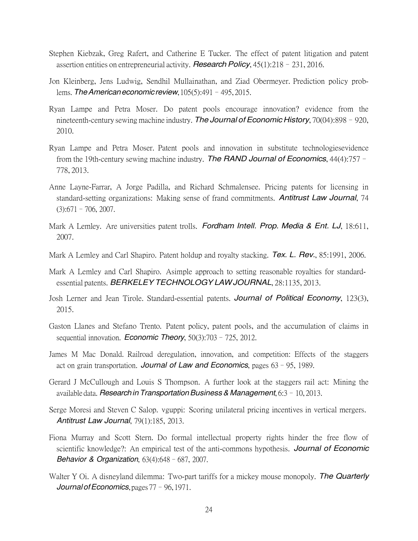- Stephen Kiebzak, Greg Rafert, and Catherine E Tucker. The effect of patent litigation and patent assertion entities on entrepreneurial activity. *ResearchPolicy*, 45(1):218–231, 2016.
- Jon Kleinberg, Jens Ludwig, Sendhil Mullainathan, and Ziad Obermeyer. Prediction policy problems. *The Americaneconomic review*, 105(5):491–495, 2015.
- Ryan Lampe and Petra Moser. Do patent pools encourage innovation? evidence from the nineteenth-century sewing machine industry. *The Journal of Economic History*, 70(04):898–920, 2010.
- Ryan Lampe and Petra Moser. Patent pools and innovation in substitute technologiesevidence from the 19th-century sewing machine industry. *The RAND Journal of Economics*, 44(4):757– 778, 2013.
- Anne Layne-Farrar, A Jorge Padilla, and Richard Schmalensee. Pricing patents for licensing in standard-setting organizations: Making sense of frand commitments. *Antitrust Law Journal*, 74  $(3):671-706, 2007.$
- Mark A Lemley. Are universities patent trolls. *Fordham Intell. Prop. Media & Ent. LJ*, 18:611, 2007.
- Mark A Lemley and Carl Shapiro. Patent holdup and royalty stacking. *Tex. L. Rev.*, 85:1991, 2006.
- Mark A Lemley and Carl Shapiro. Asimple approach to setting reasonable royalties for standardessential patents. *BERKELEY TECHNOLOGY LAW JOURNAL*, 28:1135, 2013.
- Josh Lerner and Jean Tirole. Standard-essential patents. *Journal of Political Economy*, 123(3), 2015.
- Gaston Llanes and Stefano Trento. Patent policy, patent pools, and the accumulation of claims in sequential innovation. *Economic Theory*, 50(3):703–725, 2012.
- James M Mac Donald. Railroad deregulation, innovation, and competition: Effects of the staggers act on grain transportation. *Journal of Law and Economics*, pages 63–95, 1989.
- Gerard J McCullough and Louis S Thompson. A further look at the staggers rail act: Mining the available data. *ResearchinTransportationBusiness & Management*, 6:3–10, 2013.
- Serge Moresi and Steven C Salop. vguppi: Scoring unilateral pricing incentives in vertical mergers. *Antitrust Law Journal*, 79(1):185, 2013.
- Fiona Murray and Scott Stern. Do formal intellectual property rights hinder the free flow of scientific knowledge?: An empirical test of the anti-commons hypothesis. *Journal of Economic Behavior & Organization*, 63(4):648–687, 2007.
- Walter Y Oi. A disneyland dilemma: Two-part tariffs for a mickey mouse monopoly. *The Quarterly JournalofEconomics*, pages 77–96, 1971.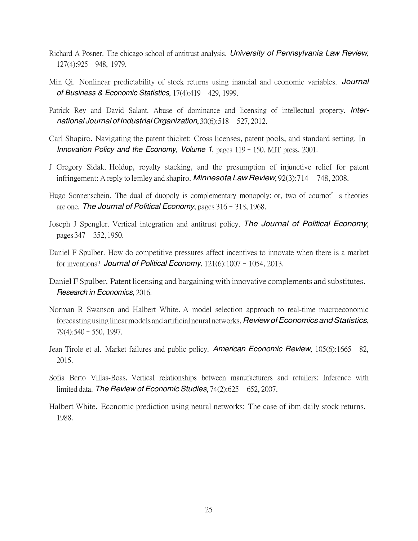- Richard A Posner. The chicago school of antitrust analysis. *University of Pennsylvania Law Review*, 127(4):925–948, 1979.
- Min Qi. Nonlinear predictability of stock returns using inancial and economic variables. *Journal of Business & Economic Statistics*, 17(4):419–429, 1999.
- Patrick Rey and David Salant. Abuse of dominance and licensing of intellectual property. *International Journal ofIndustrial Organization*, 30(6):518–527, 2012.
- Carl Shapiro. Navigating the patent thicket: Cross licenses, patent pools, and standard setting. In *Innovation Policy and the Economy, Volume 1*, pages 119–150. MIT press, 2001.
- J Gregory Sidak. Holdup, royalty stacking, and the presumption of injunctive relief for patent infringement: A reply to lemley and shapiro. *Minnesota Law Review*, 92(3):714–748, 2008.
- Hugo Sonnenschein. The dual of duopoly is complementary monopoly: or, two of cournot's theories are one. *The Journal of Political Economy*, pages 316–318, 1968.
- Joseph J Spengler. Vertical integration and antitrust policy. *The Journal of Political Economy*, pages 347–352, 1950.
- Daniel F Spulber. How do competitive pressures affect incentives to innovate when there is a market for inventions? *Journal of Political Economy*, 121(6):1007–1054, 2013.
- Daniel F Spulber. Patent licensing and bargaining with innovative complements and substitutes. *Research in Economics*, 2016.
- Norman R Swanson and Halbert White. A model selection approach to real-time macroeconomic forecasting using linearmodels and artificial neural networks.*ReviewofEconomicsandStatistics*, 79(4):540–550, 1997.
- Jean Tirole et al. Market failures and public policy. *American Economic Review*, 105(6):1665–82, 2015.
- Sofia Berto Villas-Boas. Vertical relationships between manufacturers and retailers: Inference with limited data. *The Review of Economic Studies*, 74(2):625–652, 2007.
- Halbert White. Economic prediction using neural networks: The case of ibm daily stock returns. 1988.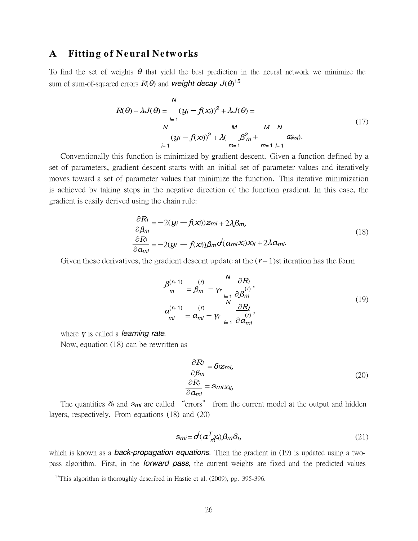# **A** Fitting of Neural Networks

To find the set of weights *θ* that yield the best prediction in the neural network we minimize the sum of sum-of-squared errors *R*(*θ*) and *weight decay J*(*θ*) 15

$$
R(\theta) + \lambda J(\theta) = \frac{(y_i - f(x_i))^2 + \lambda J(\theta)}{M} = \frac{M}{(y_i - f(x_i))^2 + \lambda (\frac{M}{\beta^2 m} + \frac{M}{m-1} \frac{M}{m-1})}
$$
(17)

Conventionally this function is minimized by gradient descent. Given a function defined by a set of parameters, gradient descent starts with an initial set of parameter values and iteratively moves toward a set of parameter values that minimize the function. This iterative minimization is achieved by taking steps in the negative direction of the function gradient. In this case, the gradient is easily derived using the chain rule:

$$
\frac{\partial R_i}{\partial \beta_m} = -2(y_i - f(x_i))z_{mi} + 2\lambda \beta_m, \n\frac{\partial R_i}{\partial a_{ml}} = -2(y_i - f(x_i))\beta_m \sigma'(a_{mi}x_i)x_{il} + 2\lambda a_{ml}.
$$
\n(18)

Given these derivatives, the gradient descent update at the  $(r+1)$ st iteration has the form

$$
\begin{aligned}\n\beta_{m}^{(r+1)} &= \beta_{m}^{(r)} - \gamma_{r} \frac{\partial R_{i}}{\partial \beta_{m}^{(r)}}, \\
a_{m1}^{(r+1)} &= a_{m1}^{(r)} - \gamma_{r} \frac{\partial R_{i}}{\partial a_{m1}^{(r)}},\n\end{aligned} \tag{19}
$$

where *γ* is called a *learning rate*.

Now, equation (18) can be rewritten as

$$
\frac{\partial R_i}{\partial \beta_m} = \delta i z_{mi},
$$
\n
$$
\frac{\partial R_i}{\partial a_{ml}} = s_{mi} x_{il},
$$
\n(20)

The quantities *δi* and *smi* are called "errors" from the current model at the output and hidden layers, respectively. From equations (18) and (20)

$$
sm = o^l(a_{m}^T x_i) \beta_m \delta_i, \tag{21}
$$

which is known as a *back-propagation equations*. Then the gradient in (19) is updated using a twopass algorithm. First, in the *forward pass*, the current weights are fixed and the predicted values

 $15$ This algorithm is thoroughly described in Hastie et al. (2009), pp. 395-396.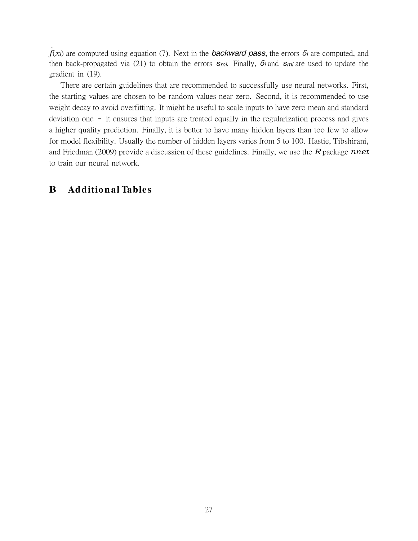$\hat{f}(x_i)$  are computed using equation (7). Next in the **backward pass**, the errors  $\delta_i$  are computed, and then back-propagated via (21) to obtain the errors *smi*. Finally, *δi* and *smi* are used to update the gradient in (19).

There are certain guidelines that are recommended to successfully use neural networks. First, the starting values are chosen to be random values near zero. Second, it is recommended to use weight decay to avoid overfitting. It might be useful to scale inputs to have zero mean and standard deviation one – it ensures that inputs are treated equally in the regularization process and gives a higher quality prediction. Finally, it is better to have many hidden layers than too few to allow for model flexibility. Usually the number of hidden layers varies from 5 to 100. Hastie, Tibshirani, and Friedman (2009) provide a discussion of these guidelines. Finally, we use the *R* package *nnet* to train our neural network.

# **B Additio n al Tables**